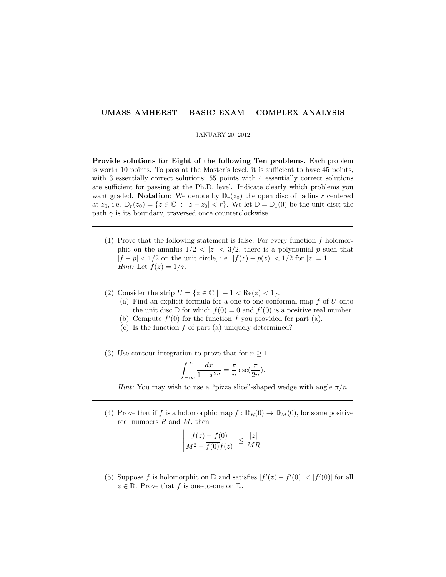## UMASS AMHERST – BASIC EXAM – COMPLEX ANALYSIS

## JANUARY 20, 2012

Provide solutions for Eight of the following Ten problems. Each problem is worth 10 points. To pass at the Master's level, it is sufficient to have 45 points, with 3 essentially correct solutions; 55 points with 4 essentially correct solutions are sufficient for passing at the Ph.D. level. Indicate clearly which problems you want graded. Notation: We denote by  $\mathbb{D}_r(z_0)$  the open disc of radius r centered at  $z_0$ , i.e.  $\mathbb{D}_r(z_0) = \{z \in \mathbb{C} : |z - z_0| < r\}$ . We let  $\mathbb{D} = \mathbb{D}_1(0)$  be the unit disc; the path  $\gamma$  is its boundary, traversed once counterclockwise.

- (1) Prove that the following statement is false: For every function  $f$  holomorphic on the annulus  $1/2 < |z| < 3/2$ , there is a polynomial p such that  $|f - p| < 1/2$  on the unit circle, i.e.  $|f(z) - p(z)| < 1/2$  for  $|z| = 1$ . *Hint:* Let  $f(z) = 1/z$ .
- (2) Consider the strip  $U = \{z \in \mathbb{C} \mid -1 < \text{Re}(z) < 1\}.$ 
	- (a) Find an explicit formula for a one-to-one conformal map  $f$  of  $U$  onto the unit disc  $\mathbb D$  for which  $f(0) = 0$  and  $f'(0)$  is a positive real number.
	- (b) Compute  $f'(0)$  for the function f you provided for part (a).
	- (c) Is the function  $f$  of part (a) uniquely determined?
- (3) Use contour integration to prove that for  $n \geq 1$

$$
\int_{-\infty}^{\infty} \frac{dx}{1 + x^{2n}} = \frac{\pi}{n} \csc(\frac{\pi}{2n}).
$$

Hint: You may wish to use a "pizza slice"-shaped wedge with angle  $\pi/n$ .

(4) Prove that if f is a holomorphic map  $f : \mathbb{D}_R(0) \to \mathbb{D}_M(0)$ , for some positive real numbers  $R$  and  $M$ , then

$$
\left|\frac{f(z)-f(0)}{M^2-\overline{f(0)}f(z)}\right| \le \frac{|z|}{MR}.
$$

(5) Suppose f is holomorphic on  $\mathbb{D}$  and satisfies  $|f'(z) - f'(0)| < |f'(0)|$  for all  $z \in \mathbb{D}$ . Prove that f is one-to-one on  $\mathbb{D}$ .